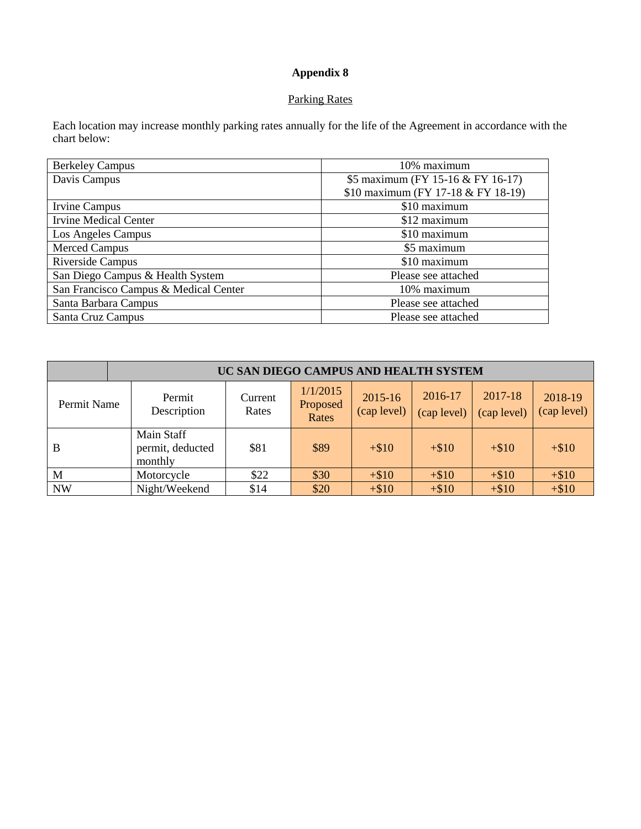## **Appendix 8**

## Parking Rates

Each location may increase monthly parking rates annually for the life of the Agreement in accordance with the chart below:

| <b>Berkeley Campus</b>                | 10% maximum                        |
|---------------------------------------|------------------------------------|
| Davis Campus                          | \$5 maximum (FY 15-16 & FY 16-17)  |
|                                       | \$10 maximum (FY 17-18 & FY 18-19) |
| Irvine Campus                         | \$10 maximum                       |
| <b>Irvine Medical Center</b>          | \$12 maximum                       |
| Los Angeles Campus                    | \$10 maximum                       |
| <b>Merced Campus</b>                  | \$5 maximum                        |
| Riverside Campus                      | \$10 maximum                       |
| San Diego Campus & Health System      | Please see attached                |
| San Francisco Campus & Medical Center | 10% maximum                        |
| Santa Barbara Campus                  | Please see attached                |
| Santa Cruz Campus                     | Please see attached                |

| UC SAN DIEGO CAMPUS AND HEALTH SYSTEM |                                           |                  |                               |                        |                        |                        |                        |
|---------------------------------------|-------------------------------------------|------------------|-------------------------------|------------------------|------------------------|------------------------|------------------------|
| Permit Name                           | Permit<br>Description                     | Current<br>Rates | 1/1/2015<br>Proposed<br>Rates | 2015-16<br>(cap level) | 2016-17<br>(cap level) | 2017-18<br>(cap level) | 2018-19<br>(cap level) |
| B                                     | Main Staff<br>permit, deducted<br>monthly | \$81             | \$89                          | $+\$10$                | $+\$10$                | $+\$10$                | $+ $10$                |
| M                                     | Motorcycle                                | \$22             | \$30                          | $+ $10$                | $+ $10$                | $+ $10$                | $+ $10$                |
| <b>NW</b>                             | Night/Weekend                             | \$14             | \$20                          | $+ $10$                | $+ $10$                | $+ $10$                | $+ $10$                |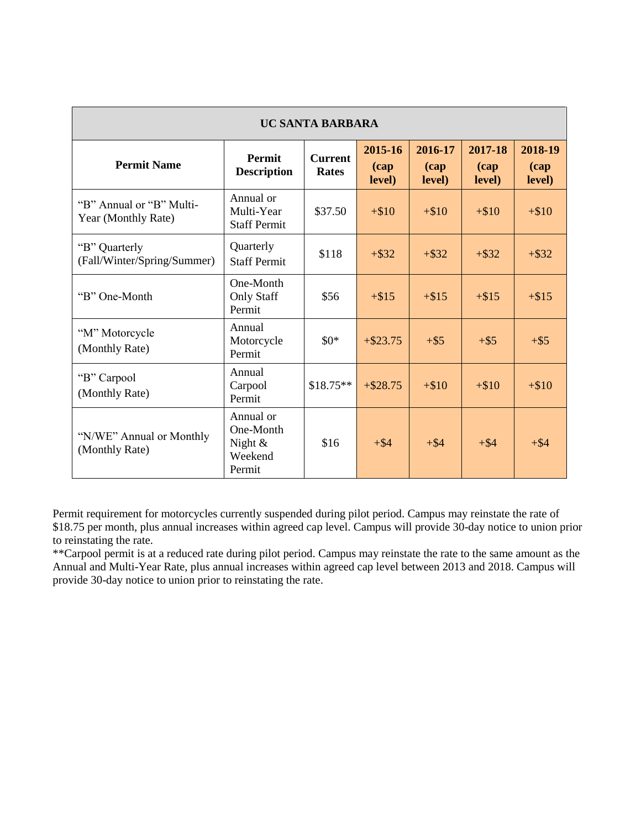| <b>UC SANTA BARBARA</b>                         |                                                           |                                |                                   |                            |                                   |                                   |
|-------------------------------------------------|-----------------------------------------------------------|--------------------------------|-----------------------------------|----------------------------|-----------------------------------|-----------------------------------|
| <b>Permit Name</b>                              | <b>Permit</b><br><b>Description</b>                       | <b>Current</b><br><b>Rates</b> | 2015-16<br>$\left($ cap<br>level) | 2016-17<br>(cap)<br>level) | 2017-18<br>$\left($ cap<br>level) | 2018-19<br>$\left($ cap<br>level) |
| "B" Annual or "B" Multi-<br>Year (Monthly Rate) | Annual or<br>Multi-Year<br><b>Staff Permit</b>            | \$37.50                        | $+\$10$                           | $+\$10$                    | $+ $10$                           | $+ $10$                           |
| "B" Quarterly<br>(Fall/Winter/Spring/Summer)    | Quarterly<br><b>Staff Permit</b>                          | \$118                          | $+$ \$32                          | $+$ \$32                   | $+$ \$32                          | $+$ \$32                          |
| "B" One-Month                                   | One-Month<br><b>Only Staff</b><br>Permit                  | \$56                           | $+ $15$                           | $+ $15$                    | $+ $15$                           | $+ $15$                           |
| "M" Motorcycle<br>(Monthly Rate)                | Annual<br>Motorcycle<br>Permit                            | $$0*$                          | $+ $23.75$                        | $+$ \$5                    | $+$ \$5                           | $+$ \$5                           |
| "B" Carpool<br>(Monthly Rate)                   | Annual<br>Carpool<br>Permit                               | $$18.75**$$                    | $+ $28.75$                        | $+\$10$                    | $+\$10$                           | $+ $10$                           |
| "N/WE" Annual or Monthly<br>(Monthly Rate)      | Annual or<br>One-Month<br>Night $\&$<br>Weekend<br>Permit | \$16                           | $+$ \$4                           | $+$ \$4                    | $+$ \$4                           | $+ $4$                            |

Permit requirement for motorcycles currently suspended during pilot period. Campus may reinstate the rate of \$18.75 per month, plus annual increases within agreed cap level. Campus will provide 30-day notice to union prior to reinstating the rate.

\*\*Carpool permit is at a reduced rate during pilot period. Campus may reinstate the rate to the same amount as the Annual and Multi-Year Rate, plus annual increases within agreed cap level between 2013 and 2018. Campus will provide 30-day notice to union prior to reinstating the rate.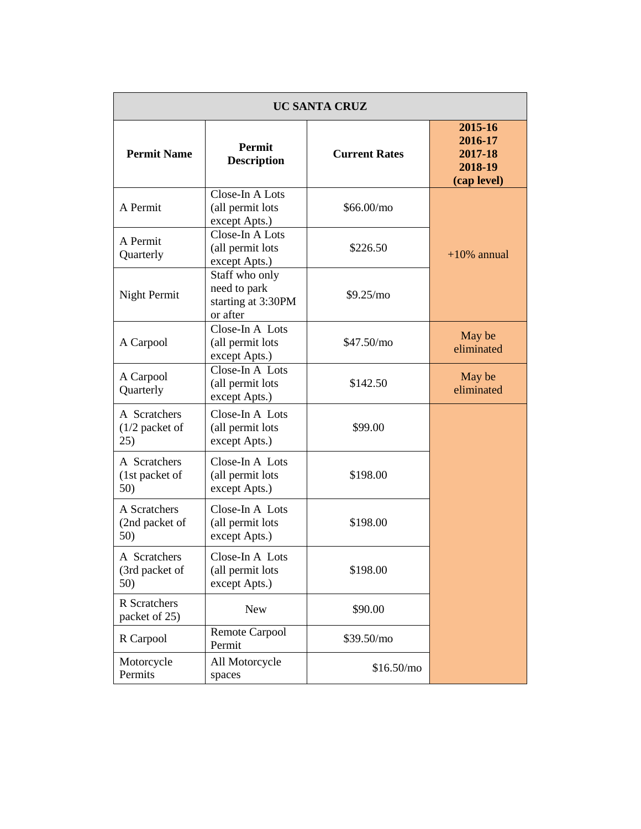| <b>UC SANTA CRUZ</b>                    |                                                                  |                      |                                                         |  |  |
|-----------------------------------------|------------------------------------------------------------------|----------------------|---------------------------------------------------------|--|--|
| <b>Permit Name</b>                      | <b>Permit</b><br><b>Description</b>                              | <b>Current Rates</b> | 2015-16<br>2016-17<br>2017-18<br>2018-19<br>(cap level) |  |  |
| A Permit                                | Close-In A Lots<br>(all permit lots<br>except Apts.)             | \$66.00/mo           |                                                         |  |  |
| A Permit<br>Quarterly                   | Close-In A Lots<br>(all permit lots<br>except Apts.)             | \$226.50             | $+10\%$ annual                                          |  |  |
| Night Permit                            | Staff who only<br>need to park<br>starting at 3:30PM<br>or after | \$9.25/mo            |                                                         |  |  |
| A Carpool                               | Close-In A Lots<br>(all permit lots<br>except Apts.)             | \$47.50/mo           | May be<br>eliminated                                    |  |  |
| A Carpool<br>Quarterly                  | Close-In A Lots<br>(all permit lots<br>except Apts.)             | \$142.50             | May be<br>eliminated                                    |  |  |
| A Scratchers<br>$(1/2$ packet of<br>25) | Close-In A Lots<br>(all permit lots<br>except Apts.)             | \$99.00              |                                                         |  |  |
| A Scratchers<br>(1st packet of<br>50)   | Close-In A Lots<br>(all permit lots<br>except Apts.)             | \$198.00             |                                                         |  |  |
| A Scratchers<br>(2nd packet of<br>50)   | Close-In A Lots<br>(all permit lots<br>except Apts.)             | \$198.00             |                                                         |  |  |
| A Scratchers<br>(3rd packet of<br>50)   | Close-In A Lots<br>(all permit lots<br>except Apts.)             | \$198.00             |                                                         |  |  |
| <b>R</b> Scratchers<br>packet of 25)    | <b>New</b>                                                       | \$90.00              |                                                         |  |  |
| R Carpool                               | <b>Remote Carpool</b><br>Permit                                  | \$39.50/mo           |                                                         |  |  |
| Motorcycle<br>Permits                   | All Motorcycle<br>spaces                                         | \$16.50/mo           |                                                         |  |  |